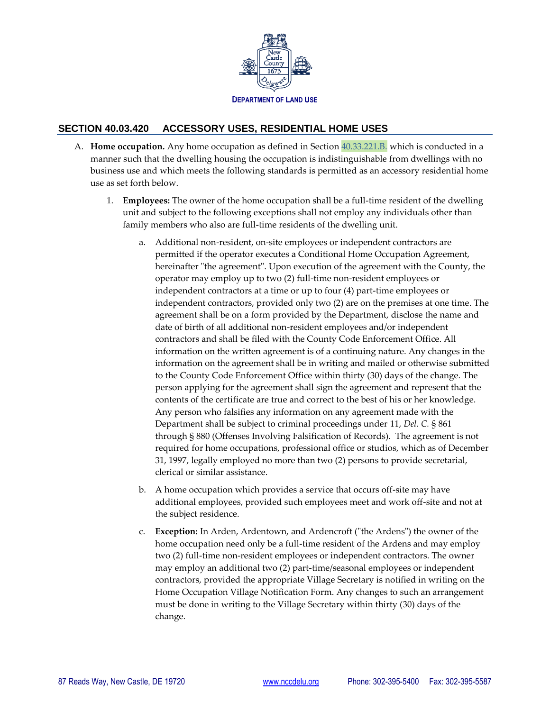

## **SECTION 40.03.420 ACCESSORY USES, RESIDENTIAL HOME USES**

- A. **Home occupation.** Any home occupation as defined in Section 40.33.221.B. which is conducted in a manner such that the dwelling housing the occupation is indistinguishable from dwellings with no business use and which meets the following standards is permitted as an accessory residential home use as set forth below.
	- 1. **Employees:** The owner of the home occupation shall be a full-time resident of the dwelling unit and subject to the following exceptions shall not employ any individuals other than family members who also are full-time residents of the dwelling unit.
		- a. Additional non-resident, on-site employees or independent contractors are permitted if the operator executes a Conditional Home Occupation Agreement, hereinafter "the agreement". Upon execution of the agreement with the County, the operator may employ up to two (2) full-time non-resident employees or independent contractors at a time or up to four (4) part-time employees or independent contractors, provided only two (2) are on the premises at one time. The agreement shall be on a form provided by the Department, disclose the name and date of birth of all additional non-resident employees and/or independent contractors and shall be filed with the County Code Enforcement Office. All information on the written agreement is of a continuing nature. Any changes in the information on the agreement shall be in writing and mailed or otherwise submitted to the County Code Enforcement Office within thirty (30) days of the change. The person applying for the agreement shall sign the agreement and represent that the contents of the certificate are true and correct to the best of his or her knowledge. Any person who falsifies any information on any agreement made with the Department shall be subject to criminal proceedings under 11, *Del. C.* § 861 through § 880 (Offenses Involving Falsification of Records). The agreement is not required for home occupations, professional office or studios, which as of December 31, 1997, legally employed no more than two (2) persons to provide secretarial, clerical or similar assistance.
		- b. A home occupation which provides a service that occurs off-site may have additional employees, provided such employees meet and work off-site and not at the subject residence.
		- c. **Exception:** In Arden, Ardentown, and Ardencroft ("the Ardens") the owner of the home occupation need only be a full-time resident of the Ardens and may employ two (2) full-time non-resident employees or independent contractors. The owner may employ an additional two (2) part-time/seasonal employees or independent contractors, provided the appropriate Village Secretary is notified in writing on the Home Occupation Village Notification Form. Any changes to such an arrangement must be done in writing to the Village Secretary within thirty (30) days of the change.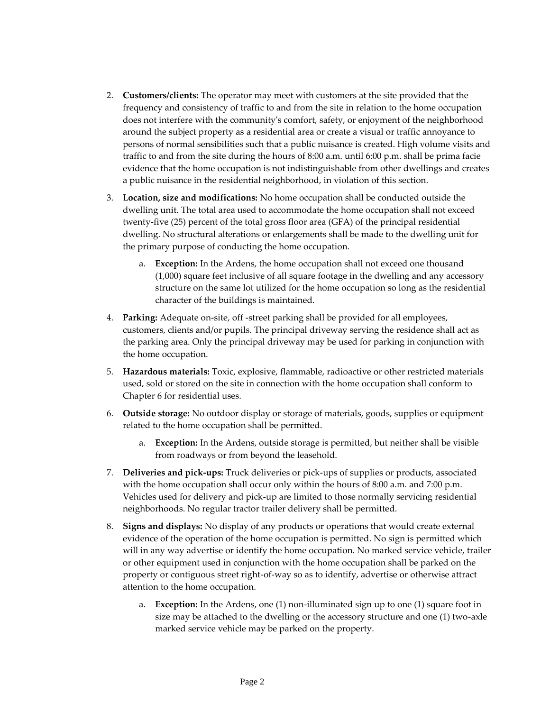- 2. **Customers/clients:** The operator may meet with customers at the site provided that the frequency and consistency of traffic to and from the site in relation to the home occupation does not interfere with the community's comfort, safety, or enjoyment of the neighborhood around the subject property as a residential area or create a visual or traffic annoyance to persons of normal sensibilities such that a public nuisance is created. High volume visits and traffic to and from the site during the hours of 8:00 a.m. until 6:00 p.m. shall be prima facie evidence that the home occupation is not indistinguishable from other dwellings and creates a public nuisance in the residential neighborhood, in violation of this section.
- 3. **Location, size and modifications:** No home occupation shall be conducted outside the dwelling unit. The total area used to accommodate the home occupation shall not exceed twenty-five (25) percent of the total gross floor area (GFA) of the principal residential dwelling. No structural alterations or enlargements shall be made to the dwelling unit for the primary purpose of conducting the home occupation.
	- a. **Exception:** In the Ardens, the home occupation shall not exceed one thousand (1,000) square feet inclusive of all square footage in the dwelling and any accessory structure on the same lot utilized for the home occupation so long as the residential character of the buildings is maintained.
- 4. **Parking:** Adequate on-site, off -street parking shall be provided for all employees, customers, clients and/or pupils. The principal driveway serving the residence shall act as the parking area. Only the principal driveway may be used for parking in conjunction with the home occupation.
- 5. **Hazardous materials:** Toxic, explosive, flammable, radioactive or other restricted materials used, sold or stored on the site in connection with the home occupation shall conform to Chapter 6 for residential uses.
- 6. **Outside storage:** No outdoor display or storage of materials, goods, supplies or equipment related to the home occupation shall be permitted.
	- a. **Exception:** In the Ardens, outside storage is permitted, but neither shall be visible from roadways or from beyond the leasehold.
- 7. **Deliveries and pick-ups:** Truck deliveries or pick-ups of supplies or products, associated with the home occupation shall occur only within the hours of 8:00 a.m. and 7:00 p.m. Vehicles used for delivery and pick-up are limited to those normally servicing residential neighborhoods. No regular tractor trailer delivery shall be permitted.
- 8. **Signs and displays:** No display of any products or operations that would create external evidence of the operation of the home occupation is permitted. No sign is permitted which will in any way advertise or identify the home occupation. No marked service vehicle, trailer or other equipment used in conjunction with the home occupation shall be parked on the property or contiguous street right-of-way so as to identify, advertise or otherwise attract attention to the home occupation.
	- a. **Exception:** In the Ardens, one (1) non-illuminated sign up to one (1) square foot in size may be attached to the dwelling or the accessory structure and one (1) two-axle marked service vehicle may be parked on the property.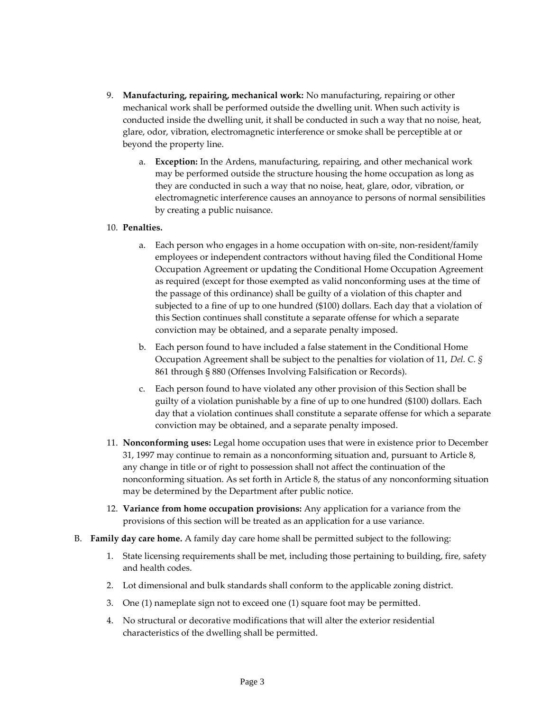- 9. **Manufacturing, repairing, mechanical work:** No manufacturing, repairing or other mechanical work shall be performed outside the dwelling unit. When such activity is conducted inside the dwelling unit, it shall be conducted in such a way that no noise, heat, glare, odor, vibration, electromagnetic interference or smoke shall be perceptible at or beyond the property line.
	- a. **Exception:** In the Ardens, manufacturing, repairing, and other mechanical work may be performed outside the structure housing the home occupation as long as they are conducted in such a way that no noise, heat, glare, odor, vibration, or electromagnetic interference causes an annoyance to persons of normal sensibilities by creating a public nuisance.

## 10. **Penalties.**

- a. Each person who engages in a home occupation with on-site, non-resident/family employees or independent contractors without having filed the Conditional Home Occupation Agreement or updating the Conditional Home Occupation Agreement as required (except for those exempted as valid nonconforming uses at the time of the passage of this ordinance) shall be guilty of a violation of this chapter and subjected to a fine of up to one hundred (\$100) dollars. Each day that a violation of this Section continues shall constitute a separate offense for which a separate conviction may be obtained, and a separate penalty imposed.
- b. Each person found to have included a false statement in the Conditional Home Occupation Agreement shall be subject to the penalties for violation of 11, *Del. C. §*  861 through § 880 (Offenses Involving Falsification or Records).
- c. Each person found to have violated any other provision of this Section shall be guilty of a violation punishable by a fine of up to one hundred (\$100) dollars. Each day that a violation continues shall constitute a separate offense for which a separate conviction may be obtained, and a separate penalty imposed.
- 11. **Nonconforming uses:** Legal home occupation uses that were in existence prior to December 31, 1997 may continue to remain as a nonconforming situation and, pursuant to Article 8, any change in title or of right to possession shall not affect the continuation of the nonconforming situation. As set forth in Article 8, the status of any nonconforming situation may be determined by the Department after public notice.
- 12. **Variance from home occupation provisions:** Any application for a variance from the provisions of this section will be treated as an application for a use variance.
- B. **Family day care home.** A family day care home shall be permitted subject to the following:
	- 1. State licensing requirements shall be met, including those pertaining to building, fire, safety and health codes.
	- 2. Lot dimensional and bulk standards shall conform to the applicable zoning district.
	- 3. One (1) nameplate sign not to exceed one (1) square foot may be permitted.
	- 4. No structural or decorative modifications that will alter the exterior residential characteristics of the dwelling shall be permitted.